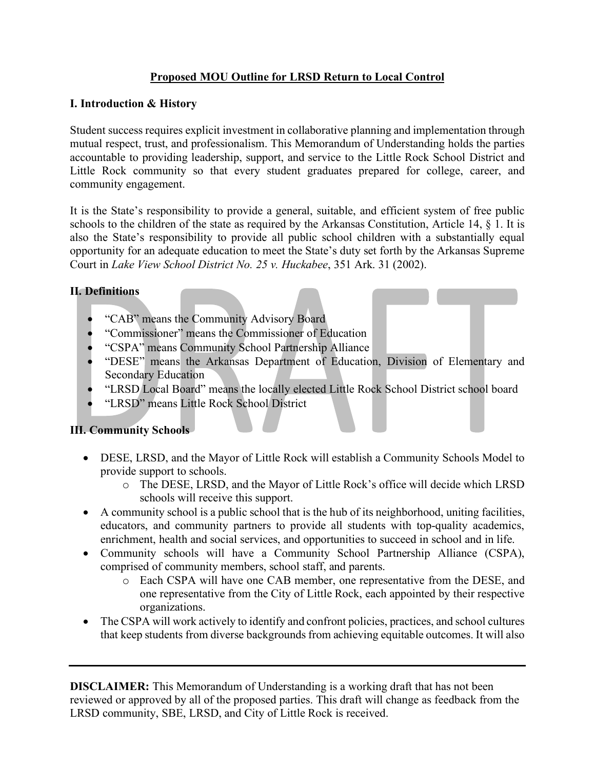### **Proposed MOU Outline for LRSD Return to Local Control**

#### **I. Introduction & History**

Student success requires explicit investment in collaborative planning and implementation through mutual respect, trust, and professionalism. This Memorandum of Understanding holds the parties accountable to providing leadership, support, and service to the Little Rock School District and Little Rock community so that every student graduates prepared for college, career, and community engagement.

It is the State's responsibility to provide a general, suitable, and efficient system of free public schools to the children of the state as required by the Arkansas Constitution, Article 14, § 1. It is also the State's responsibility to provide all public school children with a substantially equal opportunity for an adequate education to meet the State's duty set forth by the Arkansas Supreme Court in *Lake View School District No. 25 v. Huckabee*, 351 Ark. 31 (2002).

#### **II. Definitions**

- "CAB" means the Community Advisory Board
- "Commissioner" means the Commissioner of Education
- "CSPA" means Community School Partnership Alliance
- "DESE" means the Arkansas Department of Education, Division of Elementary and Secondary Education
- "LRSD Local Board" means the locally elected Little Rock School District school board
- "LRSD" means Little Rock School District

#### **III. Community Schools**

- DESE, LRSD, and the Mayor of Little Rock will establish a Community Schools Model to provide support to schools.
	- o The DESE, LRSD, and the Mayor of Little Rock's office will decide which LRSD schools will receive this support.
- A community school is a public school that is the hub of its neighborhood, uniting facilities, educators, and community partners to provide all students with top-quality academics, enrichment, health and social services, and opportunities to succeed in school and in life.
- Community schools will have a Community School Partnership Alliance (CSPA), comprised of community members, school staff, and parents.
	- o Each CSPA will have one CAB member, one representative from the DESE, and one representative from the City of Little Rock, each appointed by their respective organizations.
- The CSPA will work actively to identify and confront policies, practices, and school cultures that keep students from diverse backgrounds from achieving equitable outcomes. It will also

**DISCLAIMER:** This Memorandum of Understanding is a working draft that has not been reviewed or approved by all of the proposed parties. This draft will change as feedback from the LRSD community, SBE, LRSD, and City of Little Rock is received.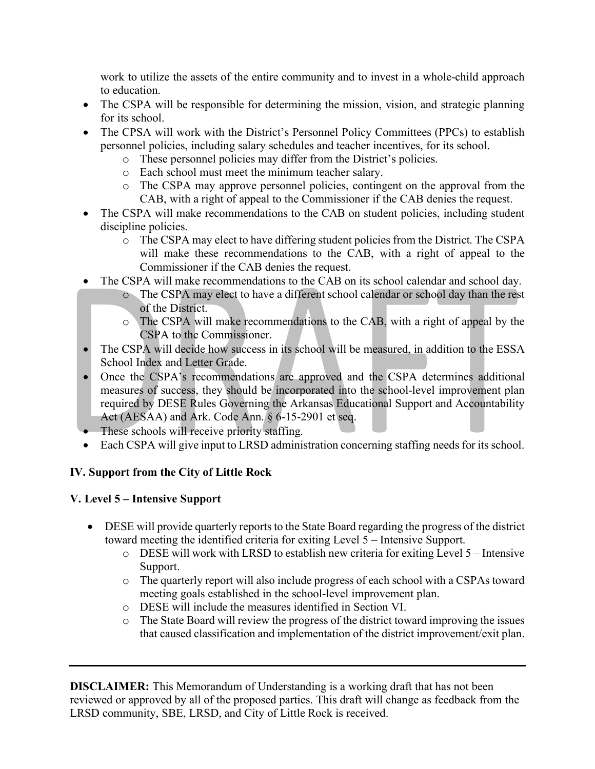work to utilize the assets of the entire community and to invest in a whole-child approach to education.

- The CSPA will be responsible for determining the mission, vision, and strategic planning for its school.
- The CPSA will work with the District's Personnel Policy Committees (PPCs) to establish personnel policies, including salary schedules and teacher incentives, for its school.
	- o These personnel policies may differ from the District's policies.
	- o Each school must meet the minimum teacher salary.
	- o The CSPA may approve personnel policies, contingent on the approval from the CAB, with a right of appeal to the Commissioner if the CAB denies the request.
- The CSPA will make recommendations to the CAB on student policies, including student discipline policies.
	- o The CSPA may elect to have differing student policies from the District. The CSPA will make these recommendations to the CAB, with a right of appeal to the Commissioner if the CAB denies the request.
- The CSPA will make recommendations to the CAB on its school calendar and school day.
	- o The CSPA may elect to have a different school calendar or school day than the rest of the District.
	- o The CSPA will make recommendations to the CAB, with a right of appeal by the CSPA to the Commissioner.
- The CSPA will decide how success in its school will be measured, in addition to the ESSA School Index and Letter Grade.
- Once the CSPA's recommendations are approved and the CSPA determines additional measures of success, they should be incorporated into the school-level improvement plan required by DESE Rules Governing the Arkansas Educational Support and Accountability Act (AESAA) and Ark. Code Ann. § 6-15-2901 et seq.
- These schools will receive priority staffing.
- Each CSPA will give input to LRSD administration concerning staffing needs for its school.

# **IV. Support from the City of Little Rock**

# **V. Level 5 – Intensive Support**

- DESE will provide quarterly reports to the State Board regarding the progress of the district toward meeting the identified criteria for exiting Level 5 – Intensive Support.
	- o DESE will work with LRSD to establish new criteria for exiting Level 5 Intensive Support.
	- o The quarterly report will also include progress of each school with a CSPAs toward meeting goals established in the school-level improvement plan.
	- o DESE will include the measures identified in Section VI.
	- o The State Board will review the progress of the district toward improving the issues that caused classification and implementation of the district improvement/exit plan.

**DISCLAIMER:** This Memorandum of Understanding is a working draft that has not been reviewed or approved by all of the proposed parties. This draft will change as feedback from the LRSD community, SBE, LRSD, and City of Little Rock is received.